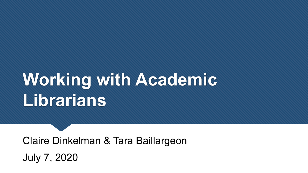# **Working with Academic Librarians**

Claire Dinkelman & Tara Baillargeon July 7, 2020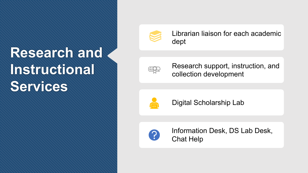## **Research and Instructional Services**



Librarian liaison for each academic dept



Research support, instruction, and collection development



Digital Scholarship Lab



Information Desk, DS Lab Desk, Chat Help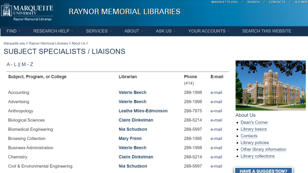

#### Raynor Memorial Libraries

| <b>FIND</b> | <b>RESEARCH HELP -</b> | <b>SERVICES</b> | ABOUT | <b>ASK US</b> | YOUR ACCOUNTS | <b>SEARCH THIS WEBSITE</b> |
|-------------|------------------------|-----------------|-------|---------------|---------------|----------------------------|
|             |                        |                 |       |               |               |                            |

Marquette.edu // Raynor Memorial Libraries // About Us //

### **SUBJECT SPECIALISTS / LIAISONS**

 $A - L || M - Z$ 

| Subject, Program, or College      | Librarian                    | <b>Phone</b><br>(414) | E-mail |  |
|-----------------------------------|------------------------------|-----------------------|--------|--|
| Accounting                        | <b>Valerie Beech</b>         | 288-1998              | e-mail |  |
| Advertising                       | <b>Valerie Beech</b>         | 288-1998              | e-mail |  |
| Anthropology                      | <b>Leatha Miles-Edmonson</b> | 288-7875              | e-mail |  |
| <b>Biological Sciences</b>        | <b>Claire Dinkelman</b>      | 288-5214              | e-mail |  |
| <b>Biomedical Engineering</b>     | Nia Schudson                 | 288-5997              | e-mail |  |
| <b>Browsing Collection</b>        | <b>Mary Frenn</b>            | 288-1995              | e-mail |  |
| <b>Business Administration</b>    | <b>Valerie Beech</b>         | 288-1998              | e-mail |  |
| Chemistry                         | <b>Claire Dinkelman</b>      | 288-5214              | e-mail |  |
| Civil & Environmental Engineering | Nia Schudson                 | 288-5997              | e-mail |  |

**RAYNOR MEMORIAL LIBRARIES** 



**About Us** 

- Dean's Corner
- Library basics
- Contacts
- Library policies
- Other library information
- Library collections

#### **HAVE A SUGGESTION?**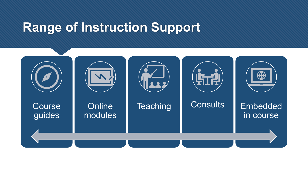## **Range of Instruction Support**

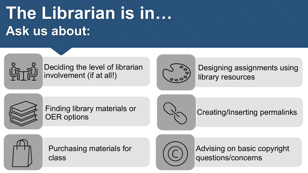## **The Librarian is in… Ask us about:**



Deciding the level of librarian involvement (if at all!)



Designing assignments using library resources



Finding library materials or OER options



Creating/Inserting permalinks



Purchasing materials for class



Advising on basic copyright questions/concerns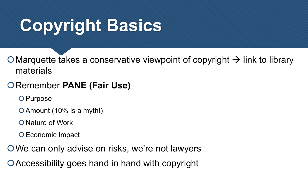# **Copyright Basics**

O Marquette takes a conservative viewpoint of copyright  $\rightarrow$  link to library materials

### **ORemember PANE (Fair Use)**

O Purpose

Amount (10% is a myth!)

O Nature of Work

O Economic Impact

We can only advise on risks, we're not lawyers

Accessibility goes hand in hand with copyright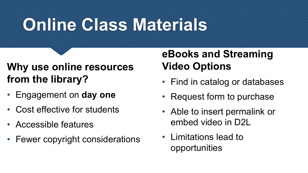# **Online Class Materials**

## **Why use online resources from the library?**

- Engagement on **day one**
- Cost effective for students
- Accessible features
- Fewer copyright considerations

## **eBooks and Streaming Video Options**

- Find in catalog or databases
- Request form to purchase
- Able to insert permalink or embed video in D2L
- Limitations lead to opportunities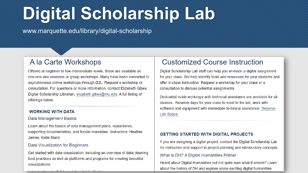# **Digital Scholarship Lab**

www.marquette.edu/library/digital-scholarship

### A la Carte Workshops

Offered at beginner to low-intermediate levels, these are available as one-one-one sessions or group workshops. Many have been converted to asynchronous online workshops through D2L. Request a workshop or consultation. For questions or more information, contact Elizabeth Gibes, Digital Scholarship Librarian, elizabeth.gibes@mu.edu. A full listing of offerings below.

#### **WORKING WITH DATA**

#### Data Management Basics

Learn about the basics of data management plans, repositories, supporting documentation, and funder mandates. Instructors: Heather James, Katie Blank

#### Data Visualization for Beginners

Get started with data visualization, including an overview of data cleaning best practices as well as platforms and programs for creating beautiful visualizations.

 $\mathbf{1}$   $\mathbf{A}$  and  $\mathbf{B}$  and  $\mathbf{A}$  and  $\mathbf{A}$ 

### **Customized Course Instruction**

Digital Scholarship Lab staff can help you envision a digital assignment for your class. We help identify tools and resources for your students and offer in-class instruction. Request a workshop for your class or a consultation to discuss potential assignments.

Dedicated in-lab workdays with technical assistance are available for all classes. Reserve days for your class to meet in the lab, work with software and equipment with immediate technical assistance. Reserve Lab Space

#### **GETTING STARTED WITH DIGITAL PROJECTS**

If you are assigning a digital project, contact the Digital Scholarship Lab for instruction and support in project planning and introductory concepts.

#### What is DH? A Digital Humanities Primer

Heard about Digital Humanities but not quite sure what it entails? Learn about the history of DH and explore some exciting digital humanities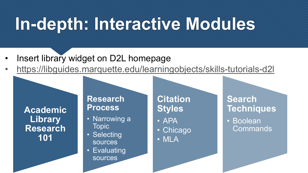## **In-depth: Interactive Modules**

- Insert library widget on D2L homepage
- <https://libguides.marquette.edu/learningobjects/skills-tutorials-d2l>

**Academic Library Research 101**

### **Research Process**

- Narrowing a Topic
- Selecting sources
- Evaluating sources

### **Citation Styles**

- APA
- Chicago
- MLA

### **Search Techniques**

• Boolean **Commands**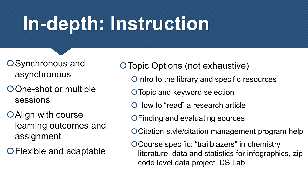# **In-depth: Instruction**

- O Synchronous and asynchronous
- One-shot or multiple sessions
- Align with course learning outcomes and assignment
- Flexible and adaptable
- Topic Options (not exhaustive)
	- O Intro to the library and specific resources
	- Topic and keyword selection
	- O How to "read" a research article
	- Finding and evaluating sources
	- Citation style/citation management program help
	- Course specific: "trailblazers" in chemistry literature, data and statistics for infographics, zip code level data project, DS Lab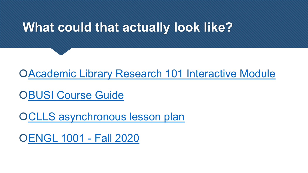## **What could that actually look like?**

[Academic Library Research 101 Interactive Module](https://libguides.marquette.edu/learningobjects/skills-tutorials-d2l)

**O[BUSI Course Guide](https://libguides.marquette.edu/econ3001)** 

OCLLS asynchronous lesson plan

[ENGL 1001 -](https://d2l.mu.edu/d2l/le/content/396509/Home) Fall 2020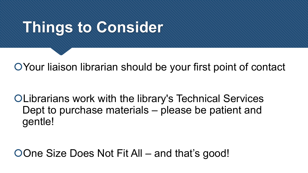## **Things to Consider**

Your liaison librarian should be your first point of contact

Librarians work with the library's Technical Services Dept to purchase materials – please be patient and gentle!

One Size Does Not Fit All – and that's good!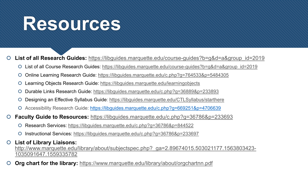## **Resources**

**List of all Research Guides:** [https://libguides.marquette.edu/course-guides?b=g&d=a&group\\_id=2019](https://libguides.marquette.edu/course-guides?b=g&d=a&group_id=2019)

- List of all Course Research Guides: [https://libguides.marquette.edu/course-guides?b=g&d=a&group\\_id=2019](https://libguides.marquette.edu/course-guides?b=g&d=a&group_id=2019)
- Online Learning Research Guide:<https://libguides.marquette.edu/c.php?g=764533&p=5484305>
- Learning Objects Research Guide: <https://libguides.marquette.edu/learningobjects>
- Durable Links Research Guide:<https://libguides.marquette.edu/c.php?g=36889&p=233893>
- Designing an Effective Syllabus Guide: <https://libguides.marquette.edu/CTLSyllabus/starthere>
- Accessibility Research Guide: <https://libguides.marquette.edu/c.php?g=669251&p=4706639>
- **Faculty Guide to Resources:** <https://libguides.marquette.edu/c.php?g=36786&p=233693>
	- Research Services: <https://libguides.marquette.edu/c.php?g=36786&p=844522>
	- Instructional Services:<https://libguides.marquette.edu/c.php?g=36786&p=233697>

#### **List of Library Liaisons:** [http://www.marquette.edu/library/about/subjectspec.php?\\_ga=2.89674015.503021177.1563803423-](http://www.marquette.edu/library/about/subjectspec.php?_ga=2.89674015.503021177.1563803423-1035091647.1559335782) 1035091647.1559335782

**Org chart for the library:** <https://www.marquette.edu/library/about/orgchartnn.pdf>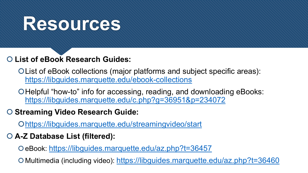## **Resources**

### **List of eBook Research Guides:**

List of eBook collections (major platforms and subject specific areas): <https://libguides.marquette.edu/ebook-collections>

OHelpful "how-to" info for accessing, reading, and downloading eBooks: <https://libguides.marquette.edu/c.php?g=36951&p=234072>

### **Streaming Video Research Guide:**

<https://libguides.marquette.edu/streamingvideo/start>

### **A-Z Database List (filtered):**

eBook: <https://libguides.marquette.edu/az.php?t=36457>

O Multimedia (including video):<https://libguides.marquette.edu/az.php?t=36460>